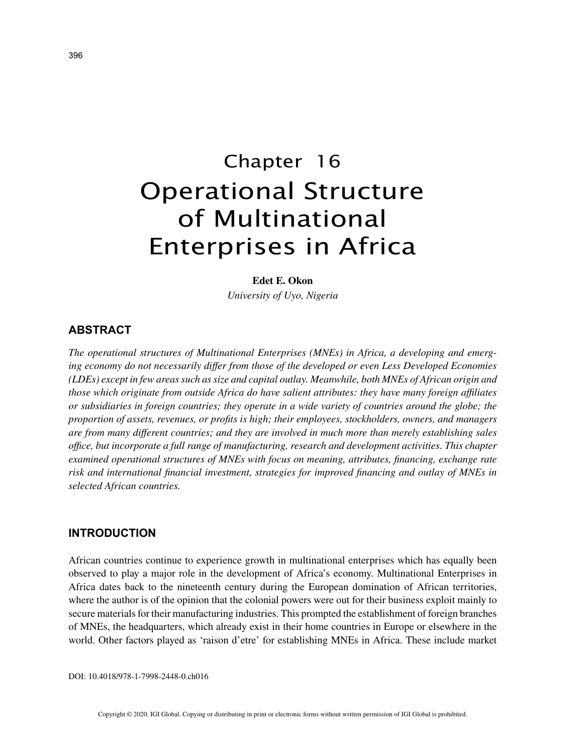# Chapter 16 Operational Structure of Multinational Enterprises in Africa

#### **Edet E. Okon**

*University of Uyo, Nigeria*

## **ABSTRACT**

*The operational structures of Multinational Enterprises (MNEs) in Africa, a developing and emerging economy do not necessarily differ from those of the developed or even Less Developed Economies (LDEs) except in few areas such as size and capital outlay. Meanwhile, both MNEs of African origin and those which originate from outside Africa do have salient attributes: they have many foreign affiliates or subsidiaries in foreign countries; they operate in a wide variety of countries around the globe; the proportion of assets, revenues, or profits is high; their employees, stockholders, owners, and managers are from many different countries; and they are involved in much more than merely establishing sales office, but incorporate a full range of manufacturing, research and development activities. This chapter examined operational structures of MNEs with focus on meaning, attributes, financing, exchange rate risk and international financial investment, strategies for improved financing and outlay of MNEs in selected African countries.*

### **INTRODUCTION**

African countries continue to experience growth in multinational enterprises which has equally been observed to play a major role in the development of Africa's economy. Multinational Enterprises in Africa dates back to the nineteenth century during the European domination of African territories, where the author is of the opinion that the colonial powers were out for their business exploit mainly to secure materials for their manufacturing industries. This prompted the establishment of foreign branches of MNEs, the headquarters, which already exist in their home countries in Europe or elsewhere in the world. Other factors played as 'raison d'etre' for establishing MNEs in Africa. These include market

DOI: 10.4018/978-1-7998-2448-0.ch016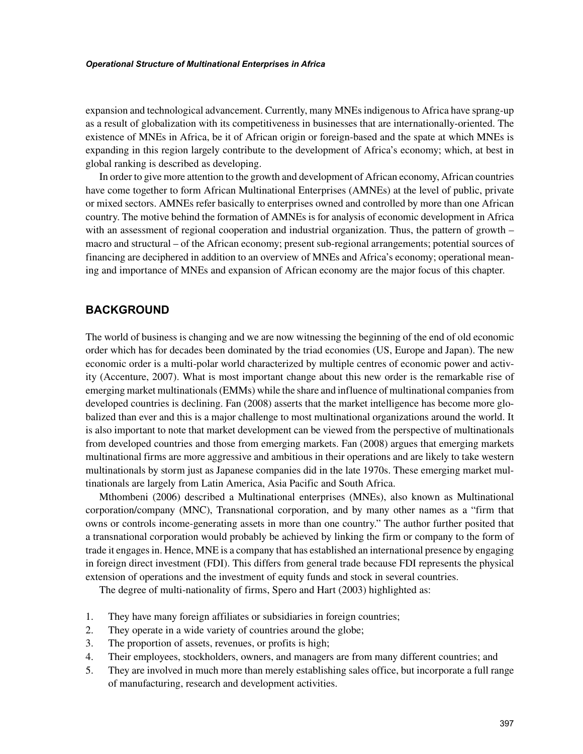expansion and technological advancement. Currently, many MNEs indigenous to Africa have sprang-up as a result of globalization with its competitiveness in businesses that are internationally-oriented. The existence of MNEs in Africa, be it of African origin or foreign-based and the spate at which MNEs is expanding in this region largely contribute to the development of Africa's economy; which, at best in global ranking is described as developing.

In order to give more attention to the growth and development of African economy, African countries have come together to form African Multinational Enterprises (AMNEs) at the level of public, private or mixed sectors. AMNEs refer basically to enterprises owned and controlled by more than one African country. The motive behind the formation of AMNEs is for analysis of economic development in Africa with an assessment of regional cooperation and industrial organization. Thus, the pattern of growth – macro and structural – of the African economy; present sub-regional arrangements; potential sources of financing are deciphered in addition to an overview of MNEs and Africa's economy; operational meaning and importance of MNEs and expansion of African economy are the major focus of this chapter.

# **BACKGROUND**

The world of business is changing and we are now witnessing the beginning of the end of old economic order which has for decades been dominated by the triad economies (US, Europe and Japan). The new economic order is a multi-polar world characterized by multiple centres of economic power and activity (Accenture, 2007). What is most important change about this new order is the remarkable rise of emerging market multinationals (EMMs) while the share and influence of multinational companies from developed countries is declining. Fan (2008) asserts that the market intelligence has become more globalized than ever and this is a major challenge to most multinational organizations around the world. It is also important to note that market development can be viewed from the perspective of multinationals from developed countries and those from emerging markets. Fan (2008) argues that emerging markets multinational firms are more aggressive and ambitious in their operations and are likely to take western multinationals by storm just as Japanese companies did in the late 1970s. These emerging market multinationals are largely from Latin America, Asia Pacific and South Africa.

Mthombeni (2006) described a Multinational enterprises (MNEs), also known as Multinational corporation/company (MNC), Transnational corporation, and by many other names as a "firm that owns or controls income-generating assets in more than one country." The author further posited that a transnational corporation would probably be achieved by linking the firm or company to the form of trade it engages in. Hence, MNE is a company that has established an international presence by engaging in foreign direct investment (FDI). This differs from general trade because FDI represents the physical extension of operations and the investment of equity funds and stock in several countries.

The degree of multi-nationality of firms, Spero and Hart (2003) highlighted as:

- 1. They have many foreign affiliates or subsidiaries in foreign countries;
- 2. They operate in a wide variety of countries around the globe;
- 3. The proportion of assets, revenues, or profits is high;
- 4. Their employees, stockholders, owners, and managers are from many different countries; and
- 5. They are involved in much more than merely establishing sales office, but incorporate a full range of manufacturing, research and development activities.